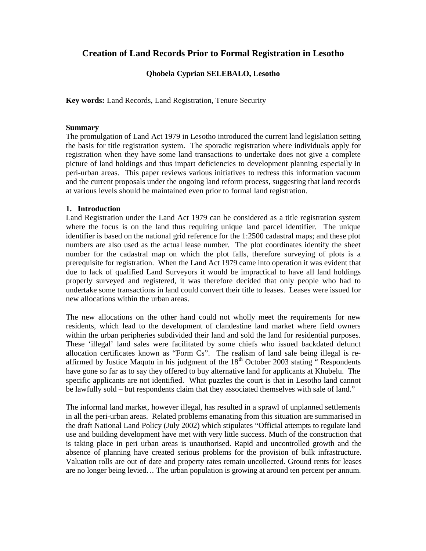# **Creation of Land Records Prior to Formal Registration in Lesotho**

# **Qhobela Cyprian SELEBALO, Lesotho**

**Key words:** Land Records, Land Registration, Tenure Security

# **Summary**

The promulgation of Land Act 1979 in Lesotho introduced the current land legislation setting the basis for title registration system. The sporadic registration where individuals apply for registration when they have some land transactions to undertake does not give a complete picture of land holdings and thus impart deficiencies to development planning especially in peri-urban areas. This paper reviews various initiatives to redress this information vacuum and the current proposals under the ongoing land reform process, suggesting that land records at various levels should be maintained even prior to formal land registration.

# **1. Introduction**

Land Registration under the Land Act 1979 can be considered as a title registration system where the focus is on the land thus requiring unique land parcel identifier. The unique identifier is based on the national grid reference for the 1:2500 cadastral maps; and these plot numbers are also used as the actual lease number. The plot coordinates identify the sheet number for the cadastral map on which the plot falls, therefore surveying of plots is a prerequisite for registration. When the Land Act 1979 came into operation it was evident that due to lack of qualified Land Surveyors it would be impractical to have all land holdings properly surveyed and registered, it was therefore decided that only people who had to undertake some transactions in land could convert their title to leases. Leases were issued for new allocations within the urban areas.

The new allocations on the other hand could not wholly meet the requirements for new residents, which lead to the development of clandestine land market where field owners within the urban peripheries subdivided their land and sold the land for residential purposes. These 'illegal' land sales were facilitated by some chiefs who issued backdated defunct allocation certificates known as "Form Cs". The realism of land sale being illegal is reaffirmed by Justice Maqutu in his judgment of the  $18<sup>th</sup>$  October 2003 stating  $\cdot$  Respondents have gone so far as to say they offered to buy alternative land for applicants at Khubelu. The specific applicants are not identified. What puzzles the court is that in Lesotho land cannot be lawfully sold – but respondents claim that they associated themselves with sale of land."

The informal land market, however illegal, has resulted in a sprawl of unplanned settlements in all the peri-urban areas. Related problems emanating from this situation are summarised in the draft National Land Policy (July 2002) which stipulates "Official attempts to regulate land use and building development have met with very little success. Much of the construction that is taking place in peri urban areas is unauthorised. Rapid and uncontrolled growth and the absence of planning have created serious problems for the provision of bulk infrastructure. Valuation rolls are out of date and property rates remain uncollected. Ground rents for leases are no longer being levied… The urban population is growing at around ten percent per annum.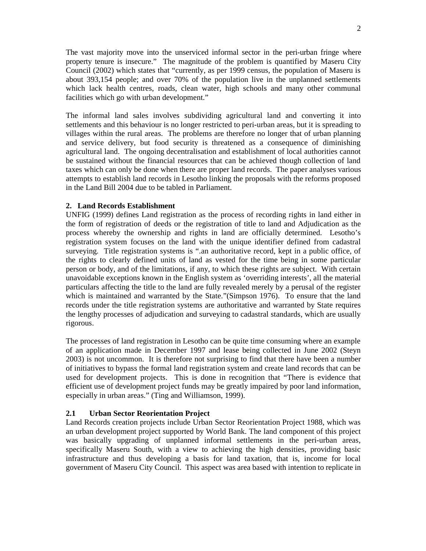The vast majority move into the unserviced informal sector in the peri-urban fringe where property tenure is insecure." The magnitude of the problem is quantified by Maseru City Council (2002) which states that "currently, as per 1999 census, the population of Maseru is about 393,154 people; and over 70% of the population live in the unplanned settlements which lack health centres, roads, clean water, high schools and many other communal facilities which go with urban development."

The informal land sales involves subdividing agricultural land and converting it into settlements and this behaviour is no longer restricted to peri-urban areas, but it is spreading to villages within the rural areas. The problems are therefore no longer that of urban planning and service delivery, but food security is threatened as a consequence of diminishing agricultural land. The ongoing decentralisation and establishment of local authorities cannot be sustained without the financial resources that can be achieved though collection of land taxes which can only be done when there are proper land records. The paper analyses various attempts to establish land records in Lesotho linking the proposals with the reforms proposed in the Land Bill 2004 due to be tabled in Parliament.

# **2. Land Records Establishment**

UNFIG (1999) defines Land registration as the process of recording rights in land either in the form of registration of deeds or the registration of title to land and Adjudication as the process whereby the ownership and rights in land are officially determined. Lesotho's registration system focuses on the land with the unique identifier defined from cadastral surveying. Title registration systems is ".an authoritative record, kept in a public office, of the rights to clearly defined units of land as vested for the time being in some particular person or body, and of the limitations, if any, to which these rights are subject. With certain unavoidable exceptions known in the English system as 'overriding interests', all the material particulars affecting the title to the land are fully revealed merely by a perusal of the register which is maintained and warranted by the State."(Simpson 1976). To ensure that the land records under the title registration systems are authoritative and warranted by State requires the lengthy processes of adjudication and surveying to cadastral standards, which are usually rigorous.

The processes of land registration in Lesotho can be quite time consuming where an example of an application made in December 1997 and lease being collected in June 2002 (Steyn 2003) is not uncommon. It is therefore not surprising to find that there have been a number of initiatives to bypass the formal land registration system and create land records that can be used for development projects. This is done in recognition that "There is evidence that efficient use of development project funds may be greatly impaired by poor land information, especially in urban areas." (Ting and Williamson, 1999).

### **2.1 Urban Sector Reorientation Project**

Land Records creation projects include Urban Sector Reorientation Project 1988, which was an urban development project supported by World Bank. The land component of this project was basically upgrading of unplanned informal settlements in the peri-urban areas, specifically Maseru South, with a view to achieving the high densities, providing basic infrastructure and thus developing a basis for land taxation, that is, income for local government of Maseru City Council. This aspect was area based with intention to replicate in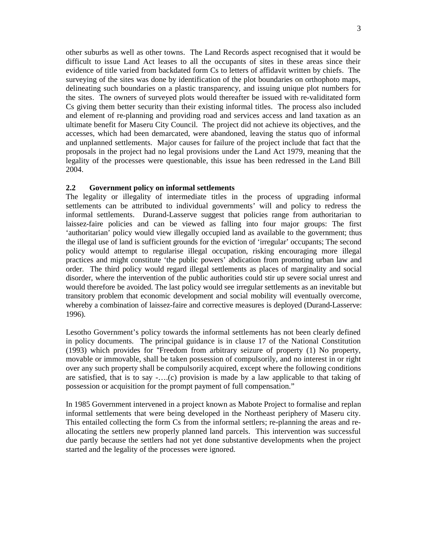other suburbs as well as other towns. The Land Records aspect recognised that it would be difficult to issue Land Act leases to all the occupants of sites in these areas since their evidence of title varied from backdated form Cs to letters of affidavit written by chiefs. The surveying of the sites was done by identification of the plot boundaries on orthophoto maps, delineating such boundaries on a plastic transparency, and issuing unique plot numbers for the sites. The owners of surveyed plots would thereafter be issued with re-validitated form Cs giving them better security than their existing informal titles. The process also included and element of re-planning and providing road and services access and land taxation as an ultimate benefit for Maseru City Council. The project did not achieve its objectives, and the accesses, which had been demarcated, were abandoned, leaving the status quo of informal and unplanned settlements. Major causes for failure of the project include that fact that the proposals in the project had no legal provisions under the Land Act 1979, meaning that the legality of the processes were questionable, this issue has been redressed in the Land Bill 2004.

# **2.2 Government policy on informal settlements**

The legality or illegality of intermediate titles in the process of upgrading informal settlements can be attributed to individual governments' will and policy to redress the informal settlements. Durand-Lasserve suggest that policies range from authoritarian to laissez-faire policies and can be viewed as falling into four major groups: The first 'authoritarian' policy would view illegally occupied land as available to the government; thus the illegal use of land is sufficient grounds for the eviction of 'irregular' occupants; The second policy would attempt to regularise illegal occupation, risking encouraging more illegal practices and might constitute 'the public powers' abdication from promoting urban law and order. The third policy would regard illegal settlements as places of marginality and social disorder, where the intervention of the public authorities could stir up severe social unrest and would therefore be avoided. The last policy would see irregular settlements as an inevitable but transitory problem that economic development and social mobility will eventually overcome, whereby a combination of laissez-faire and corrective measures is deployed (Durand-Lasserve: 1996).

Lesotho Government's policy towards the informal settlements has not been clearly defined in policy documents. The principal guidance is in clause 17 of the National Constitution (1993) which provides for "Freedom from arbitrary seizure of property (1) No property, movable or immovable, shall be taken possession of compulsorily, and no interest in or right over any such property shall be compulsorily acquired, except where the following conditions are satisfied, that is to say -….(c) provision is made by a law applicable to that taking of possession or acquisition for the prompt payment of full compensation."

In 1985 Government intervened in a project known as Mabote Project to formalise and replan informal settlements that were being developed in the Northeast periphery of Maseru city. This entailed collecting the form Cs from the informal settlers; re-planning the areas and reallocating the settlers new properly planned land parcels. This intervention was successful due partly because the settlers had not yet done substantive developments when the project started and the legality of the processes were ignored.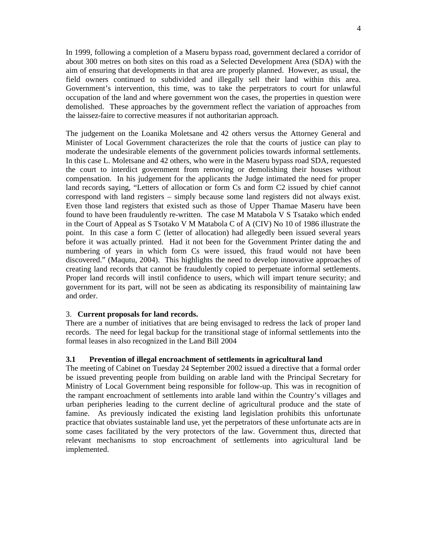In 1999, following a completion of a Maseru bypass road, government declared a corridor of about 300 metres on both sites on this road as a Selected Development Area (SDA) with the aim of ensuring that developments in that area are properly planned. However, as usual, the field owners continued to subdivided and illegally sell their land within this area. Government's intervention, this time, was to take the perpetrators to court for unlawful occupation of the land and where government won the cases, the properties in question were demolished. These approaches by the government reflect the variation of approaches from the laissez-faire to corrective measures if not authoritarian approach.

The judgement on the Loanika Moletsane and 42 others versus the Attorney General and Minister of Local Government characterizes the role that the courts of justice can play to moderate the undesirable elements of the government policies towards informal settlements. In this case L. Moletsane and 42 others, who were in the Maseru bypass road SDA, requested the court to interdict government from removing or demolishing their houses without compensation. In his judgement for the applicants the Judge intimated the need for proper land records saying, "Letters of allocation or form Cs and form C2 issued by chief cannot correspond with land registers – simply because some land registers did not always exist. Even those land registers that existed such as those of Upper Thamae Maseru have been found to have been fraudulently re-written. The case M Matabola V S Tsatako which ended in the Court of Appeal as S Tsotako V M Matabola C of A (CIV) No 10 of 1986 illustrate the point. In this case a form C (letter of allocation) had allegedly been issued several years before it was actually printed. Had it not been for the Government Printer dating the and numbering of years in which form Cs were issued, this fraud would not have been discovered." (Maqutu, 2004). This highlights the need to develop innovative approaches of creating land records that cannot be fraudulently copied to perpetuate informal settlements. Proper land records will instil confidence to users, which will impart tenure security; and government for its part, will not be seen as abdicating its responsibility of maintaining law and order.

### 3. **Current proposals for land records.**

There are a number of initiatives that are being envisaged to redress the lack of proper land records. The need for legal backup for the transitional stage of informal settlements into the formal leases in also recognized in the Land Bill 2004

# **3.1 Prevention of illegal encroachment of settlements in agricultural land**

The meeting of Cabinet on Tuesday 24 September 2002 issued a directive that a formal order be issued preventing people from building on arable land with the Principal Secretary for Ministry of Local Government being responsible for follow-up. This was in recognition of the rampant encroachment of settlements into arable land within the Country's villages and urban peripheries leading to the current decline of agricultural produce and the state of famine. As previously indicated the existing land legislation prohibits this unfortunate practice that obviates sustainable land use, yet the perpetrators of these unfortunate acts are in some cases facilitated by the very protectors of the law. Government thus, directed that relevant mechanisms to stop encroachment of settlements into agricultural land be implemented.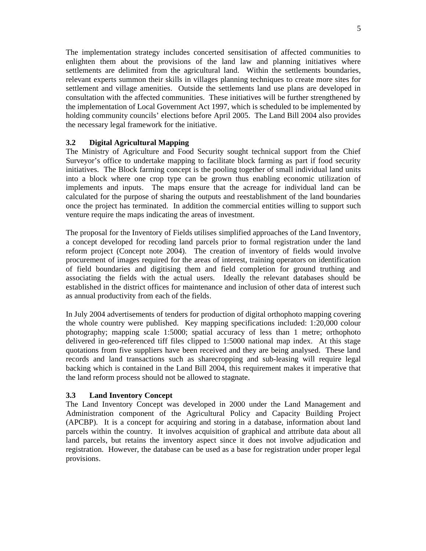The implementation strategy includes concerted sensitisation of affected communities to enlighten them about the provisions of the land law and planning initiatives where settlements are delimited from the agricultural land. Within the settlements boundaries, relevant experts summon their skills in villages planning techniques to create more sites for settlement and village amenities. Outside the settlements land use plans are developed in consultation with the affected communities. These initiatives will be further strengthened by the implementation of Local Government Act 1997, which is scheduled to be implemented by holding community councils' elections before April 2005. The Land Bill 2004 also provides the necessary legal framework for the initiative.

# **3.2 Digital Agricultural Mapping**

The Ministry of Agriculture and Food Security sought technical support from the Chief Surveyor's office to undertake mapping to facilitate block farming as part if food security initiatives. The Block farming concept is the pooling together of small individual land units into a block where one crop type can be grown thus enabling economic utilization of implements and inputs. The maps ensure that the acreage for individual land can be calculated for the purpose of sharing the outputs and reestablishment of the land boundaries once the project has terminated. In addition the commercial entities willing to support such venture require the maps indicating the areas of investment.

The proposal for the Inventory of Fields utilises simplified approaches of the Land Inventory, a concept developed for recoding land parcels prior to formal registration under the land reform project (Concept note 2004). The creation of inventory of fields would involve procurement of images required for the areas of interest, training operators on identification of field boundaries and digitising them and field completion for ground truthing and associating the fields with the actual users. Ideally the relevant databases should be established in the district offices for maintenance and inclusion of other data of interest such as annual productivity from each of the fields.

In July 2004 advertisements of tenders for production of digital orthophoto mapping covering the whole country were published. Key mapping specifications included: 1:20,000 colour photography; mapping scale 1:5000; spatial accuracy of less than 1 metre; orthophoto delivered in geo-referenced tiff files clipped to 1:5000 national map index. At this stage quotations from five suppliers have been received and they are being analysed. These land records and land transactions such as sharecropping and sub-leasing will require legal backing which is contained in the Land Bill 2004, this requirement makes it imperative that the land reform process should not be allowed to stagnate.

# **3.3 Land Inventory Concept**

The Land Inventory Concept was developed in 2000 under the Land Management and Administration component of the Agricultural Policy and Capacity Building Project (APCBP). It is a concept for acquiring and storing in a database, information about land parcels within the country. It involves acquisition of graphical and attribute data about all land parcels, but retains the inventory aspect since it does not involve adjudication and registration. However, the database can be used as a base for registration under proper legal provisions.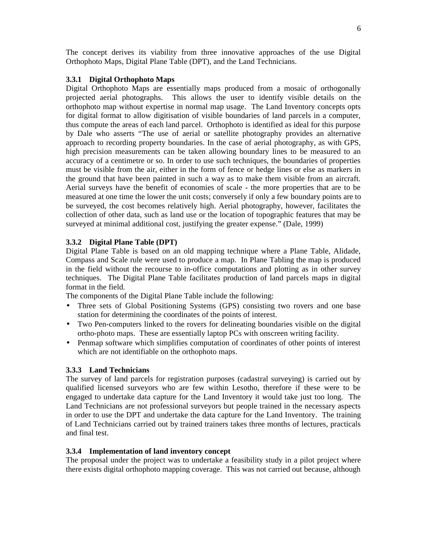The concept derives its viability from three innovative approaches of the use Digital Orthophoto Maps, Digital Plane Table (DPT), and the Land Technicians.

# **3.3.1 Digital Orthophoto Maps**

Digital Orthophoto Maps are essentially maps produced from a mosaic of orthogonally projected aerial photographs. This allows the user to identify visible details on the orthophoto map without expertise in normal map usage. The Land Inventory concepts opts for digital format to allow digitisation of visible boundaries of land parcels in a computer, thus compute the areas of each land parcel. Orthophoto is identified as ideal for this purpose by Dale who asserts "The use of aerial or satellite photography provides an alternative approach to recording property boundaries. In the case of aerial photography, as with GPS, high precision measurements can be taken allowing boundary lines to be measured to an accuracy of a centimetre or so. In order to use such techniques, the boundaries of properties must be visible from the air, either in the form of fence or hedge lines or else as markers in the ground that have been painted in such a way as to make them visible from an aircraft. Aerial surveys have the benefit of economies of scale - the more properties that are to be measured at one time the lower the unit costs; conversely if only a few boundary points are to be surveyed, the cost becomes relatively high. Aerial photography, however, facilitates the collection of other data, such as land use or the location of topographic features that may be surveyed at minimal additional cost, justifying the greater expense." (Dale, 1999)

### **3.3.2 Digital Plane Table (DPT)**

Digital Plane Table is based on an old mapping technique where a Plane Table, Alidade, Compass and Scale rule were used to produce a map. In Plane Tabling the map is produced in the field without the recourse to in-office computations and plotting as in other survey techniques. The Digital Plane Table facilitates production of land parcels maps in digital format in the field.

The components of the Digital Plane Table include the following:

- Three sets of Global Positioning Systems (GPS) consisting two rovers and one base station for determining the coordinates of the points of interest.
- Two Pen-computers linked to the rovers for delineating boundaries visible on the digital ortho-photo maps. These are essentially laptop PCs with onscreen writing facility.
- Penmap software which simplifies computation of coordinates of other points of interest which are not identifiable on the orthophoto maps.

#### **3.3.3 Land Technicians**

The survey of land parcels for registration purposes (cadastral surveying) is carried out by qualified licensed surveyors who are few within Lesotho, therefore if these were to be engaged to undertake data capture for the Land Inventory it would take just too long. The Land Technicians are not professional surveyors but people trained in the necessary aspects in order to use the DPT and undertake the data capture for the Land Inventory. The training of Land Technicians carried out by trained trainers takes three months of lectures, practicals and final test.

#### **3.3.4 Implementation of land inventory concept**

The proposal under the project was to undertake a feasibility study in a pilot project where there exists digital orthophoto mapping coverage. This was not carried out because, although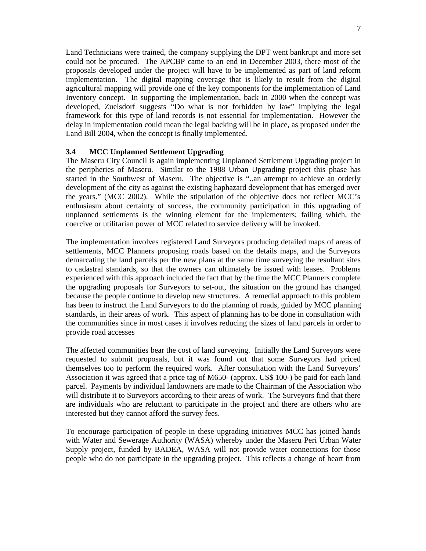Land Technicians were trained, the company supplying the DPT went bankrupt and more set could not be procured. The APCBP came to an end in December 2003, there most of the proposals developed under the project will have to be implemented as part of land reform implementation. The digital mapping coverage that is likely to result from the digital agricultural mapping will provide one of the key components for the implementation of Land Inventory concept. In supporting the implementation, back in 2000 when the concept was developed, Zuelsdorf suggests "Do what is not forbidden by law" implying the legal framework for this type of land records is not essential for implementation. However the delay in implementation could mean the legal backing will be in place, as proposed under the Land Bill 2004, when the concept is finally implemented.

# **3.4 MCC Unplanned Settlement Upgrading**

The Maseru City Council is again implementing Unplanned Settlement Upgrading project in the peripheries of Maseru. Similar to the 1988 Urban Upgrading project this phase has started in the Southwest of Maseru. The objective is "..an attempt to achieve an orderly development of the city as against the existing haphazard development that has emerged over the years." (MCC 2002). While the stipulation of the objective does not reflect MCC's enthusiasm about certainty of success, the community participation in this upgrading of unplanned settlements is the winning element for the implementers; failing which, the coercive or utilitarian power of MCC related to service delivery will be invoked.

The implementation involves registered Land Surveyors producing detailed maps of areas of settlements, MCC Planners proposing roads based on the details maps, and the Surveyors demarcating the land parcels per the new plans at the same time surveying the resultant sites to cadastral standards, so that the owners can ultimately be issued with leases. Problems experienced with this approach included the fact that by the time the MCC Planners complete the upgrading proposals for Surveyors to set-out, the situation on the ground has changed because the people continue to develop new structures. A remedial approach to this problem has been to instruct the Land Surveyors to do the planning of roads, guided by MCC planning standards, in their areas of work. This aspect of planning has to be done in consultation with the communities since in most cases it involves reducing the sizes of land parcels in order to provide road accesses

The affected communities bear the cost of land surveying. Initially the Land Surveyors were requested to submit proposals, but it was found out that some Surveyors had priced themselves too to perform the required work. After consultation with the Land Surveyors' Association it was agreed that a price tag of M650- (approx. US\$ 100-) be paid for each land parcel. Payments by individual landowners are made to the Chairman of the Association who will distribute it to Surveyors according to their areas of work. The Surveyors find that there are individuals who are reluctant to participate in the project and there are others who are interested but they cannot afford the survey fees.

To encourage participation of people in these upgrading initiatives MCC has joined hands with Water and Sewerage Authority (WASA) whereby under the Maseru Peri Urban Water Supply project, funded by BADEA, WASA will not provide water connections for those people who do not participate in the upgrading project. This reflects a change of heart from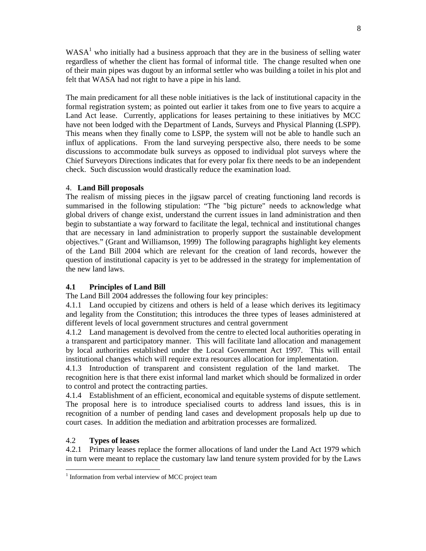$WASA<sup>1</sup>$  who initially had a business approach that they are in the business of selling water regardless of whether the client has formal of informal title. The change resulted when one of their main pipes was dugout by an informal settler who was building a toilet in his plot and felt that WASA had not right to have a pipe in his land.

The main predicament for all these noble initiatives is the lack of institutional capacity in the formal registration system; as pointed out earlier it takes from one to five years to acquire a Land Act lease. Currently, applications for leases pertaining to these initiatives by MCC have not been lodged with the Department of Lands, Surveys and Physical Planning (LSPP). This means when they finally come to LSPP, the system will not be able to handle such an influx of applications. From the land surveying perspective also, there needs to be some discussions to accommodate bulk surveys as opposed to individual plot surveys where the Chief Surveyors Directions indicates that for every polar fix there needs to be an independent check. Such discussion would drastically reduce the examination load.

# 4. **Land Bill proposals**

The realism of missing pieces in the jigsaw parcel of creating functioning land records is summarised in the following stipulation: "The "big picture" needs to acknowledge what global drivers of change exist, understand the current issues in land administration and then begin to substantiate a way forward to facilitate the legal, technical and institutional changes that are necessary in land administration to properly support the sustainable development objectives." (Grant and Williamson, 1999) The following paragraphs highlight key elements of the Land Bill 2004 which are relevant for the creation of land records, however the question of institutional capacity is yet to be addressed in the strategy for implementation of the new land laws.

# **4.1 Principles of Land Bill**

The Land Bill 2004 addresses the following four key principles:

4.1.1 Land occupied by citizens and others is held of a lease which derives its legitimacy and legality from the Constitution; this introduces the three types of leases administered at different levels of local government structures and central government

4.1.2 Land management is devolved from the centre to elected local authorities operating in a transparent and participatory manner. This will facilitate land allocation and management by local authorities established under the Local Government Act 1997. This will entail institutional changes which will require extra resources allocation for implementation.

4.1.3 Introduction of transparent and consistent regulation of the land market. The recognition here is that there exist informal land market which should be formalized in order to control and protect the contracting parties.

4.1.4 Establishment of an efficient, economical and equitable systems of dispute settlement. The proposal here is to introduce specialised courts to address land issues, this is in recognition of a number of pending land cases and development proposals help up due to court cases. In addition the mediation and arbitration processes are formalized.

# 4.2 **Types of leases**

l

4.2.1 Primary leases replace the former allocations of land under the Land Act 1979 which in turn were meant to replace the customary law land tenure system provided for by the Laws

<sup>&</sup>lt;sup>1</sup> Information from verbal interview of MCC project team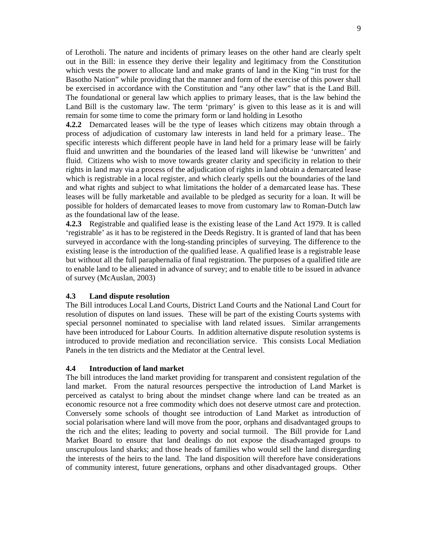of Lerotholi. The nature and incidents of primary leases on the other hand are clearly spelt out in the Bill: in essence they derive their legality and legitimacy from the Constitution which vests the power to allocate land and make grants of land in the King "in trust for the Basotho Nation" while providing that the manner and form of the exercise of this power shall be exercised in accordance with the Constitution and "any other law" that is the Land Bill. The foundational or general law which applies to primary leases, that is the law behind the Land Bill is the customary law. The term 'primary' is given to this lease as it is and will remain for some time to come the primary form or land holding in Lesotho

**4.2.2** Demarcated leases will be the type of leases which citizens may obtain through a process of adjudication of customary law interests in land held for a primary lease.. The specific interests which different people have in land held for a primary lease will be fairly fluid and unwritten and the boundaries of the leased land will likewise be 'unwritten' and fluid. Citizens who wish to move towards greater clarity and specificity in relation to their rights in land may via a process of the adjudication of rights in land obtain a demarcated lease which is registrable in a local register, and which clearly spells out the boundaries of the land and what rights and subject to what limitations the holder of a demarcated lease has. These leases will be fully marketable and available to be pledged as security for a loan. It will be possible for holders of demarcated leases to move from customary law to Roman-Dutch law as the foundational law of the lease.

**4.2.3** Registrable and qualified lease is the existing lease of the Land Act 1979. It is called 'registrable' as it has to be registered in the Deeds Registry. It is granted of land that has been surveyed in accordance with the long-standing principles of surveying. The difference to the existing lease is the introduction of the qualified lease. A qualified lease is a registrable lease but without all the full paraphernalia of final registration. The purposes of a qualified title are to enable land to be alienated in advance of survey; and to enable title to be issued in advance of survey (McAuslan, 2003)

### **4.3 Land dispute resolution**

The Bill introduces Local Land Courts, District Land Courts and the National Land Court for resolution of disputes on land issues. These will be part of the existing Courts systems with special personnel nominated to specialise with land related issues. Similar arrangements have been introduced for Labour Courts. In addition alternative dispute resolution systems is introduced to provide mediation and reconciliation service. This consists Local Mediation Panels in the ten districts and the Mediator at the Central level.

### **4.4 Introduction of land market**

The bill introduces the land market providing for transparent and consistent regulation of the land market. From the natural resources perspective the introduction of Land Market is perceived as catalyst to bring about the mindset change where land can be treated as an economic resource not a free commodity which does not deserve utmost care and protection. Conversely some schools of thought see introduction of Land Market as introduction of social polarisation where land will move from the poor, orphans and disadvantaged groups to the rich and the elites; leading to poverty and social turmoil. The Bill provide for Land Market Board to ensure that land dealings do not expose the disadvantaged groups to unscrupulous land sharks; and those heads of families who would sell the land disregarding the interests of the heirs to the land. The land disposition will therefore have considerations of community interest, future generations, orphans and other disadvantaged groups. Other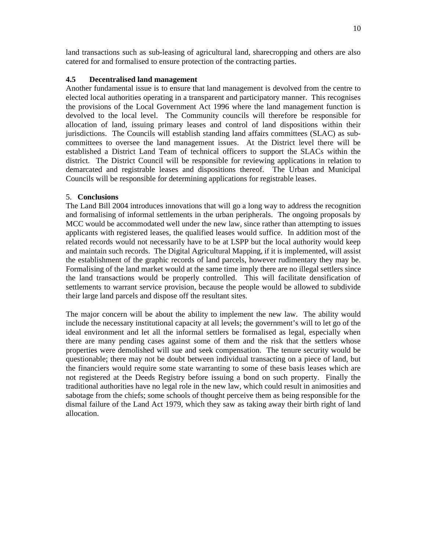land transactions such as sub-leasing of agricultural land, sharecropping and others are also catered for and formalised to ensure protection of the contracting parties.

### **4.5 Decentralised land management**

Another fundamental issue is to ensure that land management is devolved from the centre to elected local authorities operating in a transparent and participatory manner. This recognises the provisions of the Local Government Act 1996 where the land management function is devolved to the local level. The Community councils will therefore be responsible for allocation of land, issuing primary leases and control of land dispositions within their jurisdictions. The Councils will establish standing land affairs committees (SLAC) as subcommittees to oversee the land management issues. At the District level there will be established a District Land Team of technical officers to support the SLACs within the district. The District Council will be responsible for reviewing applications in relation to demarcated and registrable leases and dispositions thereof. The Urban and Municipal Councils will be responsible for determining applications for registrable leases.

### 5. **Conclusions**

The Land Bill 2004 introduces innovations that will go a long way to address the recognition and formalising of informal settlements in the urban peripherals. The ongoing proposals by MCC would be accommodated well under the new law, since rather than attempting to issues applicants with registered leases, the qualified leases would suffice. In addition most of the related records would not necessarily have to be at LSPP but the local authority would keep and maintain such records. The Digital Agricultural Mapping, if it is implemented, will assist the establishment of the graphic records of land parcels, however rudimentary they may be. Formalising of the land market would at the same time imply there are no illegal settlers since the land transactions would be properly controlled. This will facilitate densification of settlements to warrant service provision, because the people would be allowed to subdivide their large land parcels and dispose off the resultant sites.

The major concern will be about the ability to implement the new law. The ability would include the necessary institutional capacity at all levels; the government's will to let go of the ideal environment and let all the informal settlers be formalised as legal, especially when there are many pending cases against some of them and the risk that the settlers whose properties were demolished will sue and seek compensation. The tenure security would be questionable; there may not be doubt between individual transacting on a piece of land, but the financiers would require some state warranting to some of these basis leases which are not registered at the Deeds Registry before issuing a bond on such property. Finally the traditional authorities have no legal role in the new law, which could result in animosities and sabotage from the chiefs; some schools of thought perceive them as being responsible for the dismal failure of the Land Act 1979, which they saw as taking away their birth right of land allocation.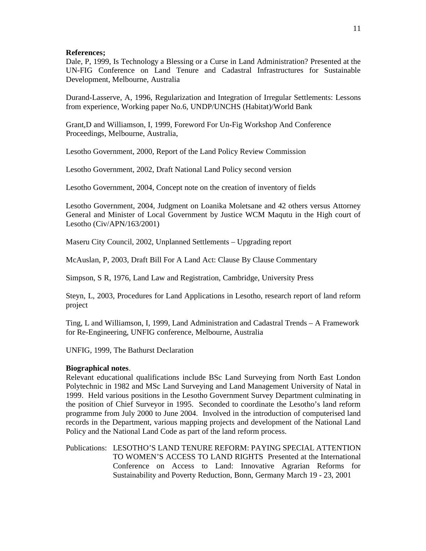#### **References;**

Dale, P, 1999, Is Technology a Blessing or a Curse in Land Administration? Presented at the UN-FIG Conference on Land Tenure and Cadastral Infrastructures for Sustainable Development, Melbourne, Australia

Durand-Lasserve, A, 1996, Regularization and Integration of Irregular Settlements: Lessons from experience, Working paper No.6, UNDP/UNCHS (Habitat)/World Bank

Grant,D and Williamson, I, 1999, Foreword For Un-Fig Workshop And Conference Proceedings, Melbourne, Australia,

Lesotho Government, 2000, Report of the Land Policy Review Commission

Lesotho Government, 2002, Draft National Land Policy second version

Lesotho Government, 2004, Concept note on the creation of inventory of fields

Lesotho Government, 2004, Judgment on Loanika Moletsane and 42 others versus Attorney General and Minister of Local Government by Justice WCM Maqutu in the High court of Lesotho (Civ/APN/163/2001)

Maseru City Council, 2002, Unplanned Settlements – Upgrading report

McAuslan, P, 2003, Draft Bill For A Land Act: Clause By Clause Commentary

Simpson, S R, 1976, Land Law and Registration, Cambridge, University Press

Steyn, L, 2003, Procedures for Land Applications in Lesotho, research report of land reform project

Ting, L and Williamson, I, 1999, Land Administration and Cadastral Trends – A Framework for Re-Engineering, UNFIG conference, Melbourne, Australia

UNFIG, 1999, The Bathurst Declaration

### **Biographical notes**.

Relevant educational qualifications include BSc Land Surveying from North East London Polytechnic in 1982 and MSc Land Surveying and Land Management University of Natal in 1999. Held various positions in the Lesotho Government Survey Department culminating in the position of Chief Surveyor in 1995. Seconded to coordinate the Lesotho's land reform programme from July 2000 to June 2004. Involved in the introduction of computerised land records in the Department, various mapping projects and development of the National Land Policy and the National Land Code as part of the land reform process.

Publications: LESOTHO'S LAND TENURE REFORM: PAYING SPECIAL ATTENTION TO WOMEN'S ACCESS TO LAND RIGHTS Presented at the International Conference on Access to Land: Innovative Agrarian Reforms for Sustainability and Poverty Reduction, Bonn, Germany March 19 - 23, 2001